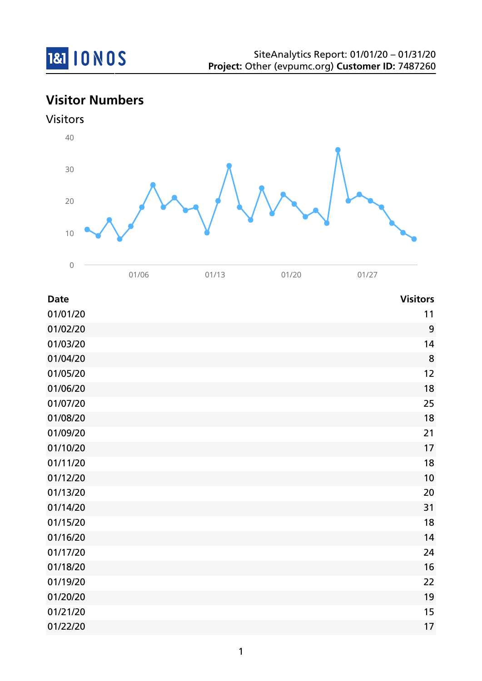

# **Visitor Numbers**



| <b>Date</b> | <b>Visitors</b> |
|-------------|-----------------|
| 01/01/20    | 11              |
| 01/02/20    | 9               |
| 01/03/20    | 14              |
| 01/04/20    | $\bf 8$         |
| 01/05/20    | 12              |
| 01/06/20    | 18              |
| 01/07/20    | 25              |
| 01/08/20    | 18              |
| 01/09/20    | 21              |
| 01/10/20    | 17              |
| 01/11/20    | 18              |
| 01/12/20    | 10              |
| 01/13/20    | 20              |
| 01/14/20    | 31              |
| 01/15/20    | 18              |
| 01/16/20    | 14              |
| 01/17/20    | 24              |
| 01/18/20    | 16              |
| 01/19/20    | 22              |
| 01/20/20    | 19              |
| 01/21/20    | 15              |
| 01/22/20    | 17              |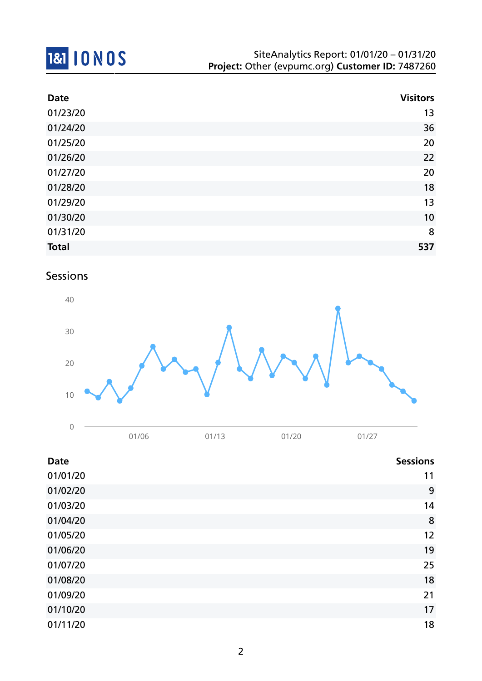

| <b>Date</b>  | <b>Visitors</b> |
|--------------|-----------------|
| 01/23/20     | 13              |
| 01/24/20     | 36              |
| 01/25/20     | 20              |
| 01/26/20     | 22              |
| 01/27/20     | 20              |
| 01/28/20     | 18              |
| 01/29/20     | 13              |
| 01/30/20     | 10              |
| 01/31/20     | 8               |
| <b>Total</b> | 537             |

## Sessions



| <b>Date</b> | <b>Sessions</b> |
|-------------|-----------------|
| 01/01/20    | 11              |
| 01/02/20    | 9               |
| 01/03/20    | 14              |
| 01/04/20    | 8               |
| 01/05/20    | 12              |
| 01/06/20    | 19              |
| 01/07/20    | 25              |
| 01/08/20    | 18              |
| 01/09/20    | 21              |
| 01/10/20    | 17              |
| 01/11/20    | 18              |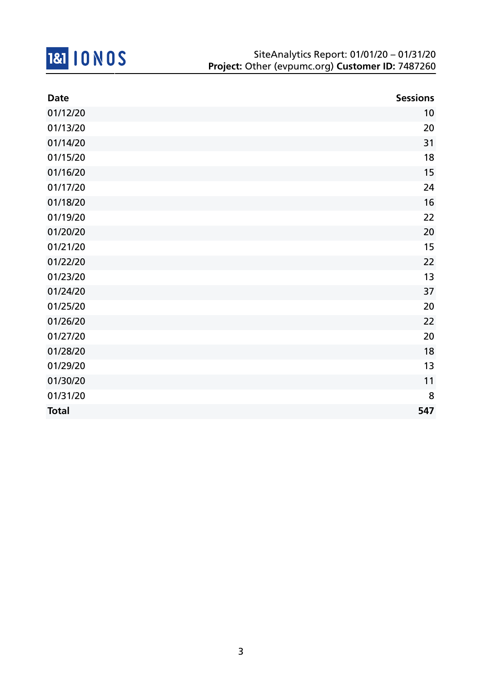

| <b>Date</b>  | <b>Sessions</b> |
|--------------|-----------------|
| 01/12/20     | 10              |
| 01/13/20     | 20              |
| 01/14/20     | 31              |
| 01/15/20     | 18              |
| 01/16/20     | 15              |
| 01/17/20     | 24              |
| 01/18/20     | 16              |
| 01/19/20     | 22              |
| 01/20/20     | 20              |
| 01/21/20     | 15              |
| 01/22/20     | 22              |
| 01/23/20     | 13              |
| 01/24/20     | 37              |
| 01/25/20     | 20              |
| 01/26/20     | 22              |
| 01/27/20     | 20              |
| 01/28/20     | 18              |
| 01/29/20     | 13              |
| 01/30/20     | 11              |
| 01/31/20     | 8               |
| <b>Total</b> | 547             |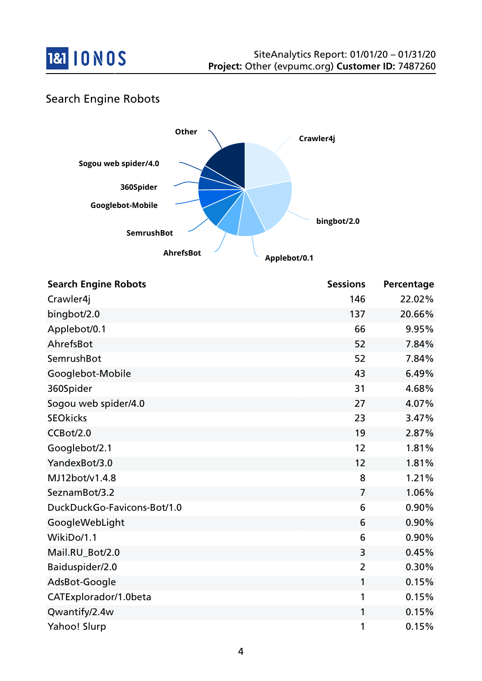

### Search Engine Robots



| <b>Search Engine Robots</b> | <b>Sessions</b> | Percentage |
|-----------------------------|-----------------|------------|
| Crawler4j                   | 146             | 22.02%     |
| bingbot/2.0                 | 137             | 20.66%     |
| Applebot/0.1                | 66              | 9.95%      |
| AhrefsBot                   | 52              | 7.84%      |
| SemrushBot                  | 52              | 7.84%      |
| Googlebot-Mobile            | 43              | 6.49%      |
| 360Spider                   | 31              | 4.68%      |
| Sogou web spider/4.0        | 27              | 4.07%      |
| <b>SEOkicks</b>             | 23              | 3.47%      |
| CCBot/2.0                   | 19              | 2.87%      |
| Googlebot/2.1               | 12              | 1.81%      |
| YandexBot/3.0               | 12              | 1.81%      |
| MJ12bot/v1.4.8              | 8               | 1.21%      |
| SeznamBot/3.2               | $\overline{7}$  | 1.06%      |
| DuckDuckGo-Favicons-Bot/1.0 | 6               | 0.90%      |
| GoogleWebLight              | 6               | 0.90%      |
| WikiDo/1.1                  | 6               | 0.90%      |
| Mail.RU_Bot/2.0             | 3               | 0.45%      |
| Baiduspider/2.0             | $\overline{2}$  | 0.30%      |
| AdsBot-Google               | 1               | 0.15%      |
| CATExplorador/1.0beta       | 1               | 0.15%      |
| Qwantify/2.4w               | 1               | 0.15%      |
| Yahoo! Slurp                | 1               | 0.15%      |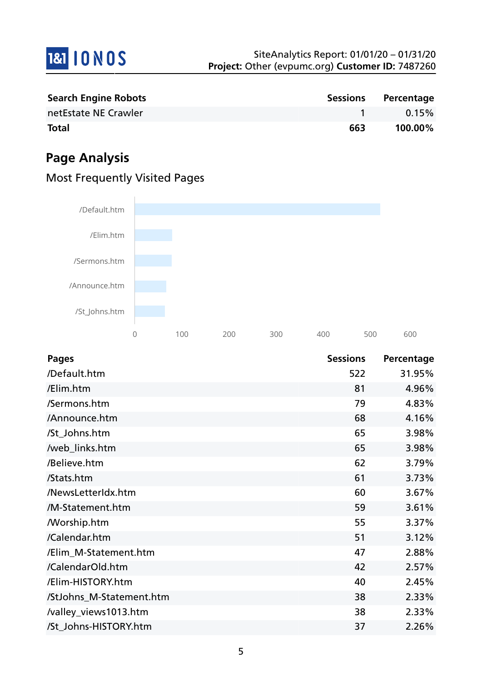

| <b>Search Engine Robots</b> |     | Sessions Percentage |
|-----------------------------|-----|---------------------|
| netEstate NE Crawler        |     | $0.15\%$            |
| <b>Total</b>                | 663 | 100.00%             |

# **Page Analysis**

# Most Frequently Visited Pages



| <b>Pages</b>             | <b>Sessions</b> | Percentage |
|--------------------------|-----------------|------------|
| /Default.htm             | 522             | 31.95%     |
| /Elim.htm                | 81              | 4.96%      |
| /Sermons.htm             | 79              | 4.83%      |
| /Announce.htm            | 68              | 4.16%      |
| /St_Johns.htm            | 65              | 3.98%      |
| /web_links.htm           | 65              | 3.98%      |
| /Believe.htm             | 62              | 3.79%      |
| /Stats.htm               | 61              | 3.73%      |
| /NewsLetterIdx.htm       | 60              | 3.67%      |
| /M-Statement.htm         | 59              | 3.61%      |
| <b>Morship.htm</b>       | 55              | 3.37%      |
| /Calendar.htm            | 51              | 3.12%      |
| /Elim_M-Statement.htm    | 47              | 2.88%      |
| /CalendarOld.htm         | 42              | 2.57%      |
| /Elim-HISTORY.htm        | 40              | 2.45%      |
| /StJohns_M-Statement.htm | 38              | 2.33%      |
| /valley_views1013.htm    | 38              | 2.33%      |
| /St_Johns-HISTORY.htm    | 37              | 2.26%      |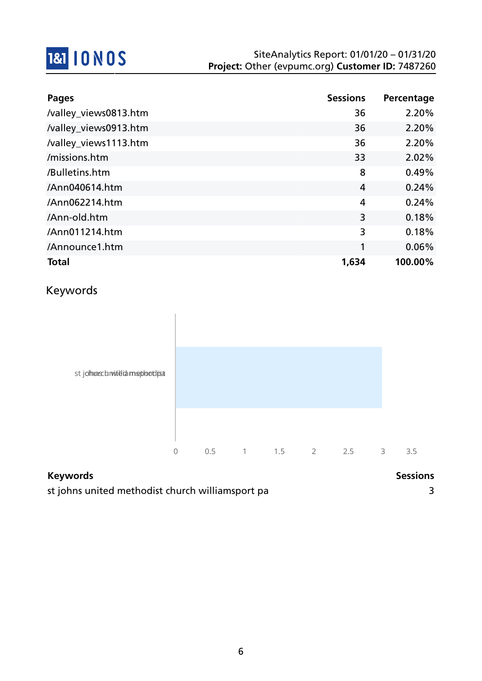

| <b>Pages</b>          | <b>Sessions</b> | Percentage |
|-----------------------|-----------------|------------|
| /valley_views0813.htm | 36              | 2.20%      |
| /valley_views0913.htm | 36              | 2.20%      |
| /valley_views1113.htm | 36              | 2.20%      |
| /missions.htm         | 33              | 2.02%      |
| /Bulletins.htm        | 8               | 0.49%      |
| /Ann040614.htm        | $\overline{4}$  | 0.24%      |
| /Ann062214.htm        | 4               | 0.24%      |
| /Ann-old.htm          | 3               | 0.18%      |
| /Ann011214.htm        | 3               | 0.18%      |
| /Announce1.htm        | 1               | 0.06%      |
| <b>Total</b>          | 1,634           | 100.00%    |

## Keywords



| <b>Keywords</b>                                  | <b>Sessions</b> |
|--------------------------------------------------|-----------------|
| st johns united methodist church williamsport pa |                 |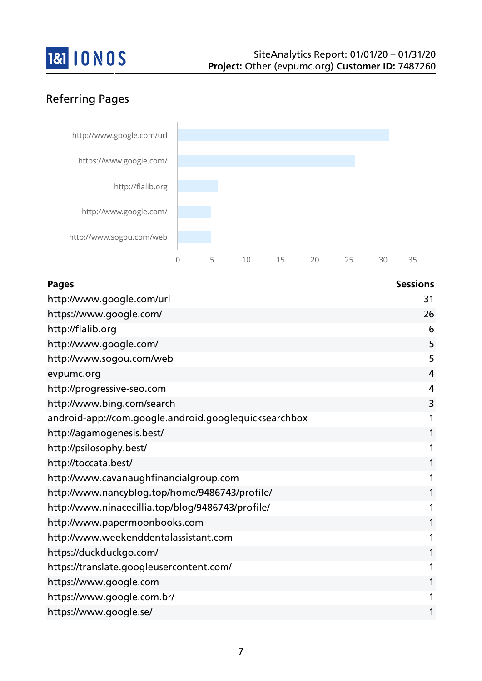

## Referring Pages



| <b>Pages</b>                                          | <b>Sessions</b> |
|-------------------------------------------------------|-----------------|
| http://www.google.com/url                             | 31              |
| https://www.google.com/                               | 26              |
| http://flalib.org                                     | 6               |
| http://www.google.com/                                | 5               |
| http://www.sogou.com/web                              | 5               |
| evpumc.org                                            | 4               |
| http://progressive-seo.com                            | 4               |
| http://www.bing.com/search                            | 3               |
| android-app://com.google.android.googlequicksearchbox | 1               |
| http://agamogenesis.best/                             | 1               |
| http://psilosophy.best/                               |                 |
| http://toccata.best/                                  |                 |
| http://www.cavanaughfinancialgroup.com                |                 |
| http://www.nancyblog.top/home/9486743/profile/        |                 |
| http://www.ninacecillia.top/blog/9486743/profile/     |                 |
| http://www.papermoonbooks.com                         |                 |
| http://www.weekenddentalassistant.com                 |                 |
| https://duckduckgo.com/                               |                 |
| https://translate.googleusercontent.com/              |                 |
| https://www.google.com                                |                 |
| https://www.google.com.br/                            |                 |
| https://www.google.se/                                | 1               |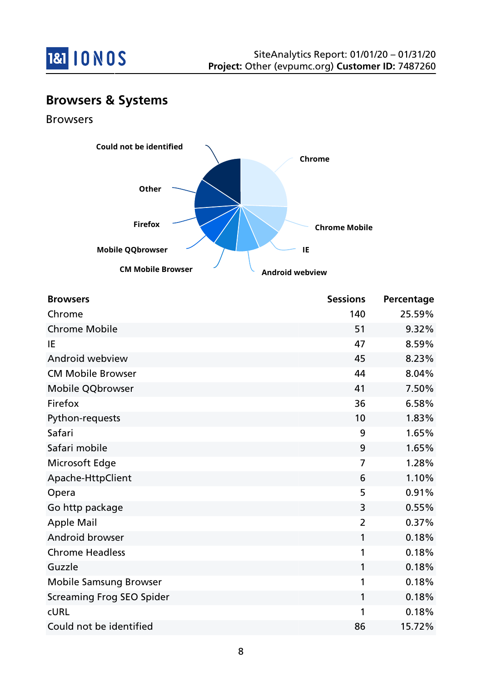

## **Browsers & Systems**

Browsers



| <b>Browsers</b>                  | <b>Sessions</b> | Percentage |
|----------------------------------|-----------------|------------|
| Chrome                           | 140             | 25.59%     |
| <b>Chrome Mobile</b>             | 51              | 9.32%      |
| IE                               | 47              | 8.59%      |
| Android webview                  | 45              | 8.23%      |
| <b>CM Mobile Browser</b>         | 44              | 8.04%      |
| Mobile QQbrowser                 | 41              | 7.50%      |
| Firefox                          | 36              | 6.58%      |
| Python-requests                  | 10              | 1.83%      |
| Safari                           | 9               | 1.65%      |
| Safari mobile                    | 9               | 1.65%      |
| Microsoft Edge                   | 7               | 1.28%      |
| Apache-HttpClient                | 6               | 1.10%      |
| Opera                            | 5               | 0.91%      |
| Go http package                  | 3               | 0.55%      |
| <b>Apple Mail</b>                | $\overline{2}$  | 0.37%      |
| Android browser                  | 1               | 0.18%      |
| <b>Chrome Headless</b>           | 1               | 0.18%      |
| Guzzle                           | $\mathbf{1}$    | 0.18%      |
| <b>Mobile Samsung Browser</b>    | 1               | 0.18%      |
| <b>Screaming Frog SEO Spider</b> | 1               | 0.18%      |
| <b>CURL</b>                      | 1               | 0.18%      |
| Could not be identified          | 86              | 15.72%     |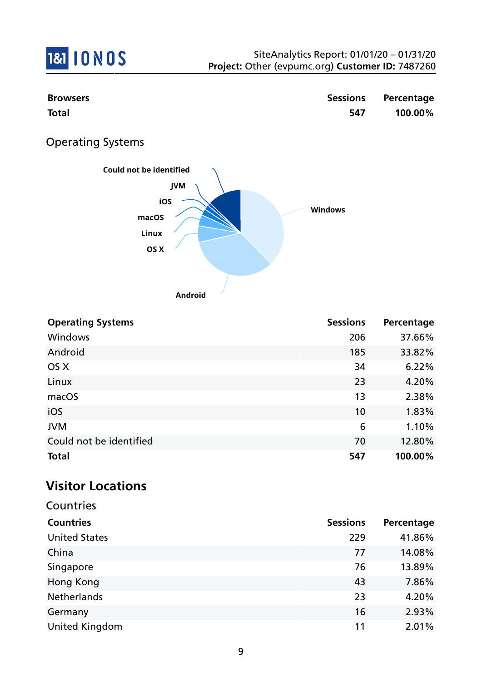

| <b>Browsers</b><br><b>Total</b>                                                   | <b>Sessions</b><br>547 | Percentage<br>100.00% |
|-----------------------------------------------------------------------------------|------------------------|-----------------------|
| <b>Operating Systems</b>                                                          |                        |                       |
| Could not be identified<br><b>JVM</b><br>iOS<br>macOS<br>Linux<br>OS X<br>Android | <b>Windows</b>         |                       |
| <b>Operating Systems</b>                                                          | <b>Sessions</b>        | Percentage            |
| Windows                                                                           | 206                    | 37.66%                |
| Android                                                                           | 185                    | 33.82%                |
| OS X                                                                              | 34                     | 6.22%                 |
| Linux                                                                             | 23                     | 4.20%                 |
| macOS                                                                             | 13                     | 2.38%                 |
| $\sim$                                                                            | $\sim$                 | 1.0201                |

| <b>Total</b>            | 547 | 100.00% |
|-------------------------|-----|---------|
| Could not be identified | 70  | 12.80%  |
| <b>JVM</b>              | b   | 1.10%   |
| iOS                     | 10  | 1.83%   |
|                         |     |         |

# **Visitor Locations**

| Countries             |                 |            |
|-----------------------|-----------------|------------|
| <b>Countries</b>      | <b>Sessions</b> | Percentage |
| <b>United States</b>  | 229             | 41.86%     |
| China                 | 77              | 14.08%     |
| Singapore             | 76              | 13.89%     |
| Hong Kong             | 43              | 7.86%      |
| <b>Netherlands</b>    | 23              | 4.20%      |
| Germany               | 16              | 2.93%      |
| <b>United Kingdom</b> | 11              | 2.01%      |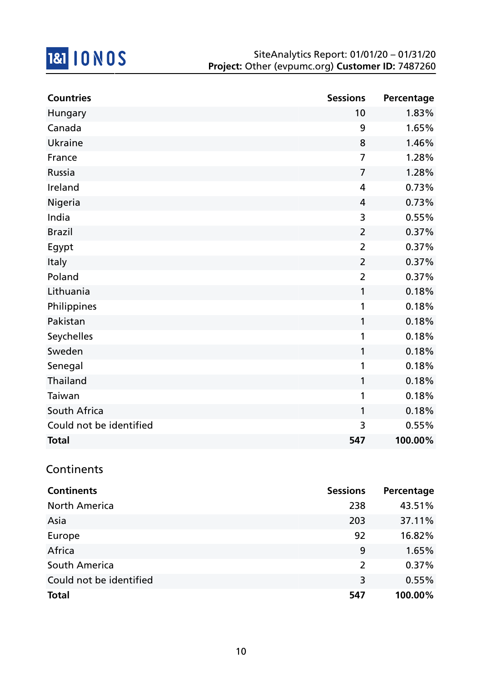

| <b>Countries</b>        | <b>Sessions</b> | Percentage |
|-------------------------|-----------------|------------|
| Hungary                 | 10              | 1.83%      |
| Canada                  | 9               | 1.65%      |
| <b>Ukraine</b>          | 8               | 1.46%      |
| France                  | $\overline{7}$  | 1.28%      |
| Russia                  | $\overline{7}$  | 1.28%      |
| Ireland                 | $\overline{4}$  | 0.73%      |
| Nigeria                 | $\overline{4}$  | 0.73%      |
| India                   | 3               | 0.55%      |
| <b>Brazil</b>           | $\overline{2}$  | 0.37%      |
| Egypt                   | $\overline{2}$  | 0.37%      |
| Italy                   | $\overline{2}$  | 0.37%      |
| Poland                  | $\overline{2}$  | 0.37%      |
| Lithuania               | 1               | 0.18%      |
| Philippines             | 1               | 0.18%      |
| Pakistan                | 1               | 0.18%      |
| Seychelles              | 1               | 0.18%      |
| Sweden                  | 1               | 0.18%      |
| Senegal                 | 1               | 0.18%      |
| Thailand                | 1               | 0.18%      |
| Taiwan                  | 1               | 0.18%      |
| South Africa            | 1               | 0.18%      |
| Could not be identified | 3               | 0.55%      |
| <b>Total</b>            | 547             | 100.00%    |

### **Continents**

| <b>Continents</b>       | <b>Sessions</b> | Percentage |
|-------------------------|-----------------|------------|
| <b>North America</b>    | 238             | 43.51%     |
| Asia                    | 203             | 37.11%     |
| Europe                  | 92              | 16.82%     |
| Africa                  | 9               | 1.65%      |
| South America           | $\overline{2}$  | 0.37%      |
| Could not be identified | 3               | 0.55%      |
| <b>Total</b>            | 547             | 100.00%    |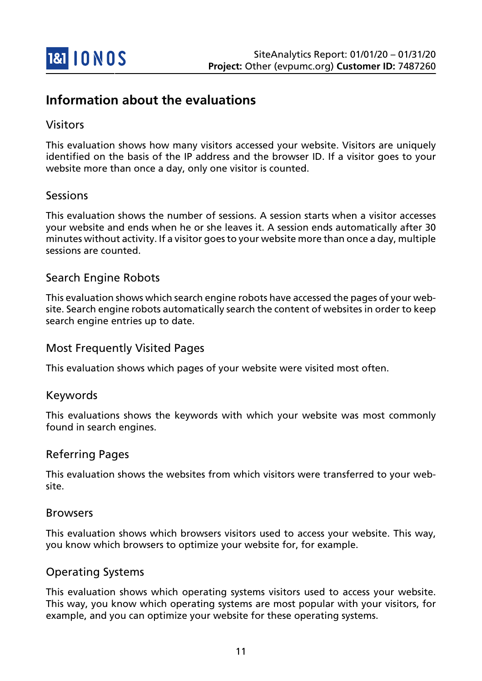

## **Information about the evaluations**

#### Visitors

This evaluation shows how many visitors accessed your website. Visitors are uniquely identified on the basis of the IP address and the browser ID. If a visitor goes to your website more than once a day, only one visitor is counted.

#### Sessions

This evaluation shows the number of sessions. A session starts when a visitor accesses your website and ends when he or she leaves it. A session ends automatically after 30 minutes without activity. If a visitor goes to your website more than once a day, multiple sessions are counted.

#### Search Engine Robots

This evaluation shows which search engine robots have accessed the pages of your website. Search engine robots automatically search the content of websites in order to keep search engine entries up to date.

#### Most Frequently Visited Pages

This evaluation shows which pages of your website were visited most often.

#### Keywords

This evaluations shows the keywords with which your website was most commonly found in search engines.

#### Referring Pages

This evaluation shows the websites from which visitors were transferred to your website.

#### Browsers

This evaluation shows which browsers visitors used to access your website. This way, you know which browsers to optimize your website for, for example.

#### Operating Systems

This evaluation shows which operating systems visitors used to access your website. This way, you know which operating systems are most popular with your visitors, for example, and you can optimize your website for these operating systems.